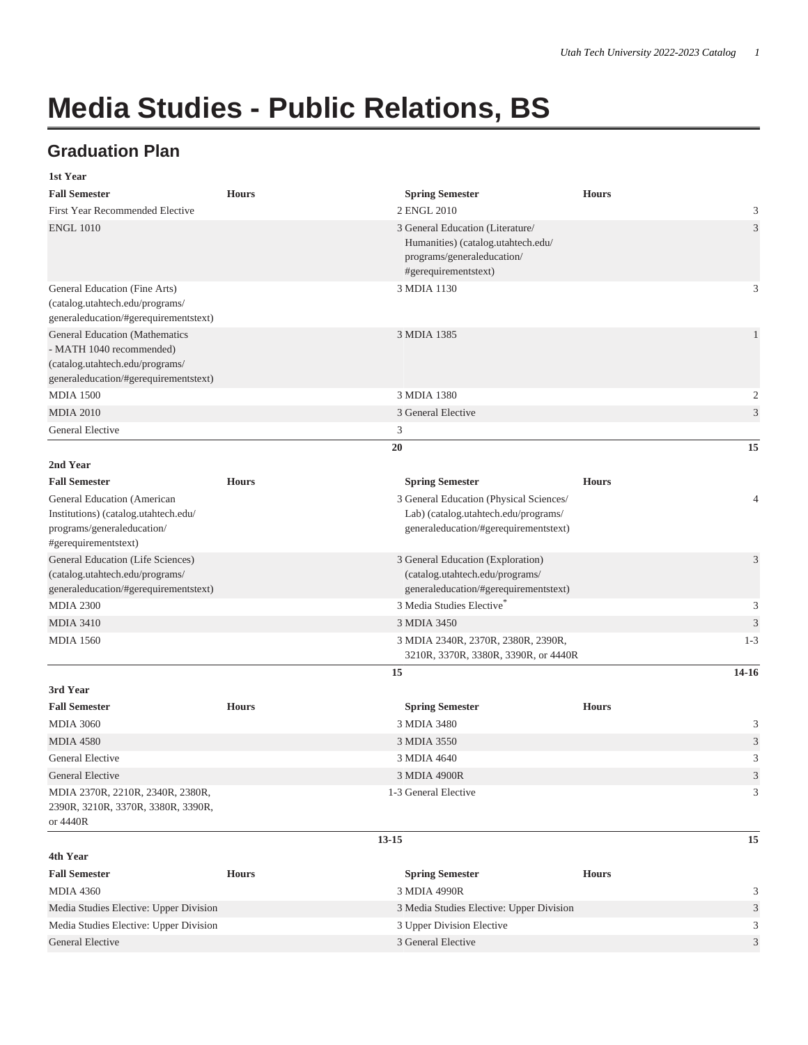## **Media Studies - Public Relations, BS**

## **Graduation Plan**

| 1st Year                                                                                                                                      |              |                                                                                                                              |              |                |
|-----------------------------------------------------------------------------------------------------------------------------------------------|--------------|------------------------------------------------------------------------------------------------------------------------------|--------------|----------------|
| <b>Fall Semester</b>                                                                                                                          | <b>Hours</b> | <b>Spring Semester</b>                                                                                                       | <b>Hours</b> |                |
| <b>First Year Recommended Elective</b>                                                                                                        |              | 2 ENGL 2010                                                                                                                  |              | 3              |
| <b>ENGL 1010</b>                                                                                                                              |              | 3 General Education (Literature/<br>Humanities) (catalog.utahtech.edu/<br>programs/generaleducation/<br>#gerequirementstext) |              | $\mathfrak{Z}$ |
| General Education (Fine Arts)<br>(catalog.utahtech.edu/programs/<br>generaleducation/#gerequirementstext)                                     |              | 3 MDIA 1130                                                                                                                  |              | 3              |
| <b>General Education (Mathematics</b><br>- MATH 1040 recommended)<br>(catalog.utahtech.edu/programs/<br>generaleducation/#gerequirementstext) |              | 3 MDIA 1385                                                                                                                  |              | $\mathbf{1}$   |
| <b>MDIA 1500</b>                                                                                                                              |              | 3 MDIA 1380                                                                                                                  |              | $\mathfrak{2}$ |
| <b>MDIA 2010</b>                                                                                                                              |              | 3 General Elective                                                                                                           |              | 3              |
| General Elective                                                                                                                              |              | 3                                                                                                                            |              |                |
|                                                                                                                                               |              | 20                                                                                                                           |              | 15             |
| 2nd Year                                                                                                                                      |              |                                                                                                                              |              |                |
| <b>Fall Semester</b>                                                                                                                          | <b>Hours</b> | <b>Spring Semester</b>                                                                                                       | <b>Hours</b> |                |
| General Education (American<br>Institutions) (catalog.utahtech.edu/<br>programs/generaleducation/<br>#gerequirementstext)                     |              | 3 General Education (Physical Sciences/<br>Lab) (catalog.utahtech.edu/programs/<br>generaleducation/#gerequirementstext)     |              | $\overline{4}$ |
| General Education (Life Sciences)<br>(catalog.utahtech.edu/programs/<br>generaleducation/#gerequirementstext)                                 |              | 3 General Education (Exploration)<br>(catalog.utahtech.edu/programs/<br>generaleducation/#gerequirementstext)                |              | $\mathfrak{Z}$ |
| <b>MDIA 2300</b>                                                                                                                              |              | 3 Media Studies Elective                                                                                                     |              | 3              |
| <b>MDIA 3410</b>                                                                                                                              |              | 3 MDIA 3450                                                                                                                  |              | $\mathfrak{Z}$ |
| <b>MDIA 1560</b>                                                                                                                              |              | 3 MDIA 2340R, 2370R, 2380R, 2390R,<br>3210R, 3370R, 3380R, 3390R, or 4440R                                                   |              | $1 - 3$        |
|                                                                                                                                               |              | 15                                                                                                                           |              | 14-16          |
| 3rd Year<br><b>Fall Semester</b>                                                                                                              | <b>Hours</b> | <b>Spring Semester</b>                                                                                                       | <b>Hours</b> |                |
| <b>MDIA 3060</b>                                                                                                                              |              | 3 MDIA 3480                                                                                                                  |              | 3              |
| <b>MDIA 4580</b>                                                                                                                              |              | 3 MDIA 3550                                                                                                                  |              | $\mathfrak{Z}$ |
| General Elective                                                                                                                              |              | 3 MDIA 4640                                                                                                                  |              | 3              |
| General Elective                                                                                                                              |              | 3 MDIA 4900R                                                                                                                 |              | $\mathfrak{Z}$ |
| MDIA 2370R, 2210R, 2340R, 2380R,<br>2390R, 3210R, 3370R, 3380R, 3390R,<br>or 4440R                                                            |              | 1-3 General Elective                                                                                                         |              | 3              |
|                                                                                                                                               |              | $13 - 15$                                                                                                                    |              | 15             |
| 4th Year                                                                                                                                      |              |                                                                                                                              |              |                |
| <b>Fall Semester</b>                                                                                                                          | <b>Hours</b> | <b>Spring Semester</b>                                                                                                       | <b>Hours</b> |                |
| <b>MDIA 4360</b>                                                                                                                              |              | 3 MDIA 4990R                                                                                                                 |              | 3              |
| Media Studies Elective: Upper Division                                                                                                        |              | 3 Media Studies Elective: Upper Division                                                                                     |              | $\mathfrak{Z}$ |
| Media Studies Elective: Upper Division                                                                                                        |              | 3 Upper Division Elective                                                                                                    |              | 3              |
| <b>General Elective</b>                                                                                                                       |              | 3 General Elective                                                                                                           |              | 3              |